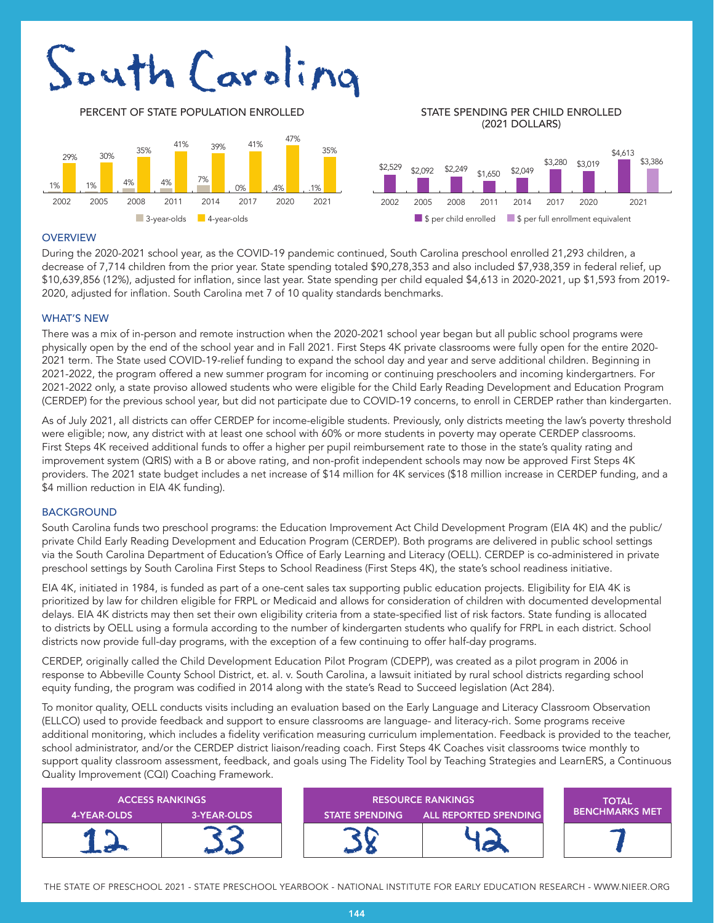# South Caroling





# (2021 DOLLARS)



#### **OVERVIEW**

During the 2020-2021 school year, as the COVID-19 pandemic continued, South Carolina preschool enrolled 21,293 children, a decrease of 7,714 children from the prior year. State spending totaled \$90,278,353 and also included \$7,938,359 in federal relief, up \$10,639,856 (12%), adjusted for inflation, since last year. State spending per child equaled \$4,613 in 2020-2021, up \$1,593 from 2019- 2020, adjusted for inflation. South Carolina met 7 of 10 quality standards benchmarks.

#### WHAT'S NEW

There was a mix of in-person and remote instruction when the 2020-2021 school year began but all public school programs were physically open by the end of the school year and in Fall 2021. First Steps 4K private classrooms were fully open for the entire 2020- 2021 term. The State used COVID-19-relief funding to expand the school day and year and serve additional children. Beginning in 2021-2022, the program offered a new summer program for incoming or continuing preschoolers and incoming kindergartners. For 2021-2022 only, a state proviso allowed students who were eligible for the Child Early Reading Development and Education Program (CERDEP) for the previous school year, but did not participate due to COVID-19 concerns, to enroll in CERDEP rather than kindergarten.

As of July 2021, all districts can offer CERDEP for income-eligible students. Previously, only districts meeting the law's poverty threshold were eligible; now, any district with at least one school with 60% or more students in poverty may operate CERDEP classrooms. First Steps 4K received additional funds to offer a higher per pupil reimbursement rate to those in the state's quality rating and improvement system (QRIS) with a B or above rating, and non-profit independent schools may now be approved First Steps 4K providers. The 2021 state budget includes a net increase of \$14 million for 4K services (\$18 million increase in CERDEP funding, and a \$4 million reduction in EIA 4K funding).

#### **BACKGROUND**

South Carolina funds two preschool programs: the Education Improvement Act Child Development Program (EIA 4K) and the public/ private Child Early Reading Development and Education Program (CERDEP). Both programs are delivered in public school settings via the South Carolina Department of Education's Office of Early Learning and Literacy (OELL). CERDEP is co-administered in private preschool settings by South Carolina First Steps to School Readiness (First Steps 4K), the state's school readiness initiative.

EIA 4K, initiated in 1984, is funded as part of a one-cent sales tax supporting public education projects. Eligibility for EIA 4K is prioritized by law for children eligible for FRPL or Medicaid and allows for consideration of children with documented developmental delays. EIA 4K districts may then set their own eligibility criteria from a state-specified list of risk factors. State funding is allocated to districts by OELL using a formula according to the number of kindergarten students who qualify for FRPL in each district. School districts now provide full-day programs, with the exception of a few continuing to offer half-day programs.

CERDEP, originally called the Child Development Education Pilot Program (CDEPP), was created as a pilot program in 2006 in response to Abbeville County School District, et. al. v. South Carolina, a lawsuit initiated by rural school districts regarding school equity funding, the program was codified in 2014 along with the state's Read to Succeed legislation (Act 284).

To monitor quality, OELL conducts visits including an evaluation based on the Early Language and Literacy Classroom Observation (ELLCO) used to provide feedback and support to ensure classrooms are language- and literacy-rich. Some programs receive additional monitoring, which includes a fidelity verification measuring curriculum implementation. Feedback is provided to the teacher, school administrator, and/or the CERDEP district liaison/reading coach. First Steps 4K Coaches visit classrooms twice monthly to support quality classroom assessment, feedback, and goals using The Fidelity Tool by Teaching Strategies and LearnERS, a Continuous Quality Improvement (CQI) Coaching Framework.

| <b>ACCESS RANKINGS</b> |             | <b>RESOURCE RANKINGS</b> |                              | <b>TOTAL</b>          |
|------------------------|-------------|--------------------------|------------------------------|-----------------------|
| 4-YEAR-OLDS            | 3-YEAR-OLDS | <b>STATE SPENDING</b>    | <b>ALL REPORTED SPENDING</b> | <b>BENCHMARKS MET</b> |
|                        |             |                          |                              |                       |

THE STATE OF PRESCHOOL 2021 - STATE PRESCHOOL YEARBOOK - NATIONAL INSTITUTE FOR EARLY EDUCATION RESEARCH - WWW.NIEER.ORG